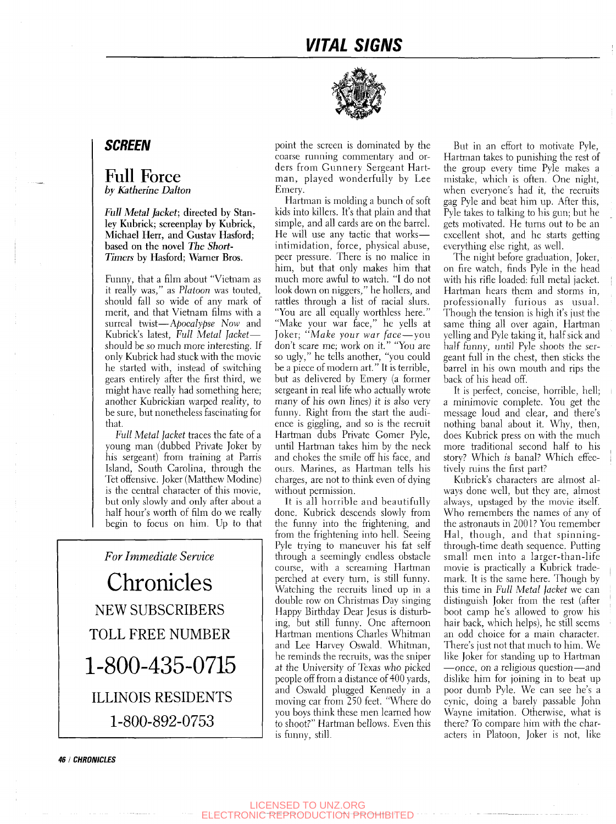

## *SCREEN*

## Full Force *by Katherine Dalton*

*Full Metal Jacket;* **directed by Stanley Kubrick; screenplay by Kubrick, Michael Herr, and Gustav Hasford; based on the novel** *The Short-Timers* **by Hasford; Warner Bros.** 

Funny, that a film about "Vietnam as it really was," as *Platoon* was touted, should fall so wide of any mark of merit, and that Vietnam films with a surreal twist—*Apocalypse Now* and Kubrick's latest. *Full Metal jacket* should be so much more interesting. If only Kubrick had stuck with the movie he started with, instead of switching gears entirely after the first third, we might have really had something here; another Kubrickian warped reality, to be sure, but nonetheless fascinating for that.

*Full Metal Jacket* traces the fate of a young man (dubbed Private Joker by his sergeant) from training at Parris Island, South Carolina, through the Tet offensive. Joker (Matthew Modine) is the central character of this movie, but only slowly and only after about a half hour's worth of film do we really begin to focus on him. Up to that

*For Immediate Service*  Chronicles NEW SUBSCRIBERS TOLL FREE NUMBER 1-800-435-0715 ILLINOIS RESIDENTS 1-800-892-0753

point the screen is dominated by the coarse running commentary and orders from Gunnery Sergeant Hartman, played wonderfully by Lee Emery.

Hartman is molding a bunch of soft kids into killers. It's that plain and that simple, and all cards are on the barrel. He will use any tactic that works intimidation, force, physical abuse, peer pressure. There is no malice in him, but that only makes him that much more awful to watch. "I do not look down on niggers," he hollers, and ratdes through a list of racial slurs. "You are all equally worthless here." "Make your war face," he yells at Joker; *"Make your war face*—you don't scare me; work on it." "You are so ugly," he tells another, "you could be a piece of modern art." It is terrible, but as delivered by Emery (a former sergeant in real life who actually wrote many of his own lines) it is also very funny. Right from the start the audience is giggling, and so is the recruit Hartman dubs Private Comer Pyle, until Hartman takes him by the neck and chokes the smile off his face, and ours. Marines, as Hartman tells his charges, are not to think even of dying without permission.

It is all horrible and beautifully done. Kubrick descends slowly from the funny into the frightening, and from the frightening into hell. Seeing Pyle trying to maneuver his fat self through a seemingly endless obstacle course, with a screaming Hartman perched at every turn, is still funny. Watching the recruits lined up in a double row on Christmas Day singing Happy Birthday Dear Jesus is disturbing, but still funny. One afternoon Hartman mentions Charles Whitman and Lee Harvey Oswald. Whitman, he reminds the recruits, was the sniper at the University of Texas who picked people off from a distance of 400 yards, and Oswald plugged Kennedy in a moving car from 250 feet. "Where do you boys think these men learned how to shoot?" Hartman bellows. Even this is funny, still.

But in an effort to motivate Pyle, Hartman takes to punishing the rest of the group every time Pyle makes a mistake, which is often. One night, when everyone's had it, the recruits gag Pyle and beat him up. After this, Pyle takes to talking to his gun; but he gets motivated. He turns out to be an excellent shot, and he starts getting everything else right, as well.

The night before graduation. Joker, on fire watch, finds Pyle in the head with his rifle loaded: full metal jacket. Hartman hears them and storms in, professionally furious as usual. Though the tension is high it's just the same thing all over again, Hartman yelling and Pyle taking it, half sick and half funny, until Pyle shoots the sergeant full in the chest, then sticks the barrel in his own mouth and rips the back of his head off.

It is perfect, concise, horrible, hell; a minimovie complete. You get the message loud and clear, and there's nothing banal about it. Why, then, does Kubrick press on with the much more traditional second half to his story? Which *is* banal? Which effectively ruins the first part?

Kubrick's characters are almost always done well, but they are, almost always, upstaged by the movie itself. Who remembers the names of any of the astronauts in 2001? You remember Hal, though, and that spinningthrough-time death sequence. Putting small men into a larger-than-life movie is practically a Kubrick trademark. It is the same here. Though by this time in *Full Metal Jacket* we can distinguish Joker from the rest (after boot camp he's allowed to grow his hair back, which helps), he still seems an odd choice for a main character. There's just not that much to him. We like Joker for standing up to Hartman —once, on a religious question—and dislike him for joining in to beat up poor dumb Pyle. We can see he's a cynic, doing a barely passable John Wayne imitation. Otherwise, what is there? To compare him with the characters in Platoon, Joker is not, like

**46 I CHRONICLES**